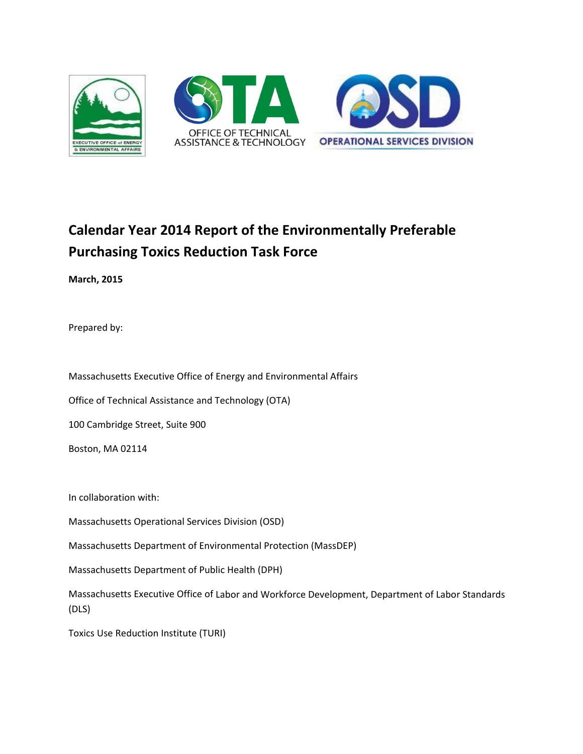

# **Calendar Year 2014 Report of the Environmentally Preferable Purchasing Toxics Reduction Task Force**

**March, 2015** 

Prepared by:

Massachusetts Executive Office of Energy and Environmental Affairs

Office of Technical Assistance and Technology (OTA)

100 Cambridge Street, Suite 900

Boston, MA 02114

In collaboration with:

Massachusetts Operational Services Division (OSD)

Massachusetts Department of Environmental Protection (MassDEP)

Massachusetts Department of Public Health (DPH)

Massachusetts Executive Office of Labor and Workforce Development, Department of Labor Standards (DLS)

Toxics Use Reduction Institute (TURI)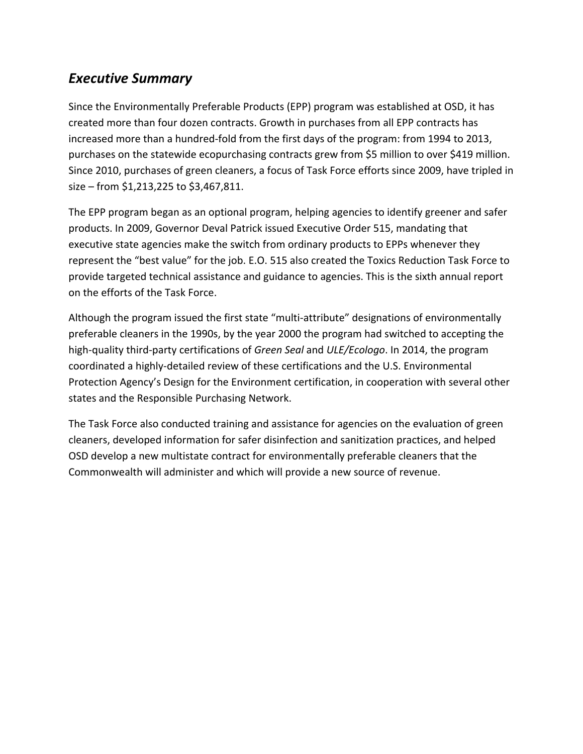# *Executive Summary*

Since the Environmentally Preferable Products (EPP) program was established at OSD, it has created more than four dozen contracts. Growth in purchases from all EPP contracts has increased more than a hundred‐fold from the first days of the program: from 1994 to 2013, purchases on the statewide ecopurchasing contracts grew from \$5 million to over \$419 million. Since 2010, purchases of green cleaners, a focus of Task Force efforts since 2009, have tripled in size – from \$1,213,225 to \$3,467,811.

The EPP program began as an optional program, helping agencies to identify greener and safer products. In 2009, Governor Deval Patrick issued Executive Order 515, mandating that executive state agencies make the switch from ordinary products to EPPs whenever they represent the "best value" for the job. E.O. 515 also created the Toxics Reduction Task Force to provide targeted technical assistance and guidance to agencies. This is the sixth annual report on the efforts of the Task Force.

Although the program issued the first state "multi‐attribute" designations of environmentally preferable cleaners in the 1990s, by the year 2000 the program had switched to accepting the high‐quality third‐party certifications of *Green Seal* and *ULE/Ecologo*. In 2014, the program coordinated a highly‐detailed review of these certifications and the U.S. Environmental Protection Agency's Design for the Environment certification, in cooperation with several other states and the Responsible Purchasing Network.

The Task Force also conducted training and assistance for agencies on the evaluation of green cleaners, developed information for safer disinfection and sanitization practices, and helped OSD develop a new multistate contract for environmentally preferable cleaners that the Commonwealth will administer and which will provide a new source of revenue.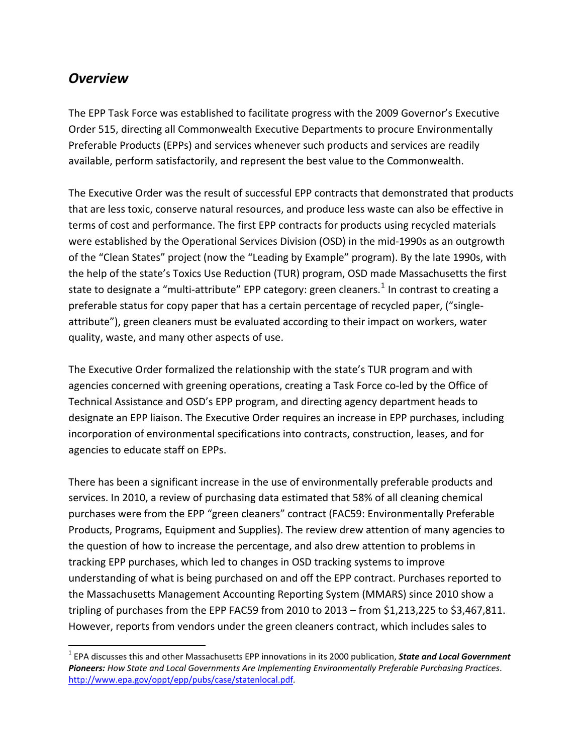# *Overview*

The EPP Task Force was established to facilitate progress with the 2009 Governor's Executive Order 515, directing all Commonwealth Executive Departments to procure Environmentally Preferable Products (EPPs) and services whenever such products and services are readily available, perform satisfactorily, and represent the best value to the Commonwealth.

The Executive Order was the result of successful EPP contracts that demonstrated that products that are less toxic, conserve natural resources, and produce less waste can also be effective in terms of cost and performance. The first EPP contracts for products using recycled materials were established by the Operational Services Division (OSD) in the mid-1990s as an outgrowth of the "Clean States" project (now the "Leading by Example" program). By the late 1990s, with the help of the state's Toxics Use Reduction (TUR) program, OSD made Massachusetts the first state to designate a "multi-attribute" EPP category: green cleaners.<sup>[1](#page-2-0)</sup> In contrast to creating a preferable status for copy paper that has a certain percentage of recycled paper, ("single‐ attribute"), green cleaners must be evaluated according to their impact on workers, water quality, waste, and many other aspects of use.

The Executive Order formalized the relationship with the state's TUR program and with agencies concerned with greening operations, creating a Task Force co‐led by the Office of Technical Assistance and OSD's EPP program, and directing agency department heads to designate an EPP liaison. The Executive Order requires an increase in EPP purchases, including incorporation of environmental specifications into contracts, construction, leases, and for agencies to educate staff on EPPs.

There has been a significant increase in the use of environmentally preferable products and services. In 2010, a review of purchasing data estimated that 58% of all cleaning chemical purchases were from the EPP "green cleaners" contract (FAC59: Environmentally Preferable Products, Programs, Equipment and Supplies). The review drew attention of many agencies to the question of how to increase the percentage, and also drew attention to problems in tracking EPP purchases, which led to changes in OSD tracking systems to improve understanding of what is being purchased on and off the EPP contract. Purchases reported to the Massachusetts Management Accounting Reporting System (MMARS) since 2010 show a tripling of purchases from the EPP FAC59 from 2010 to 2013 – from \$1,213,225 to \$3,467,811. However, reports from vendors under the green cleaners contract, which includes sales to

<span id="page-2-0"></span><sup>1</sup> EPA discusses this and other Massachusetts EPP innovations in its 2000 publication, *State and Local Government Pioneers: How State and Local Governments Are Implementing Environmentally Preferable Purchasing Practices*. [http://www.epa.gov/oppt/epp/pubs/case/statenlocal.pdf.](http://www.epa.gov/oppt/epp/pubs/case/statenlocal.pdf)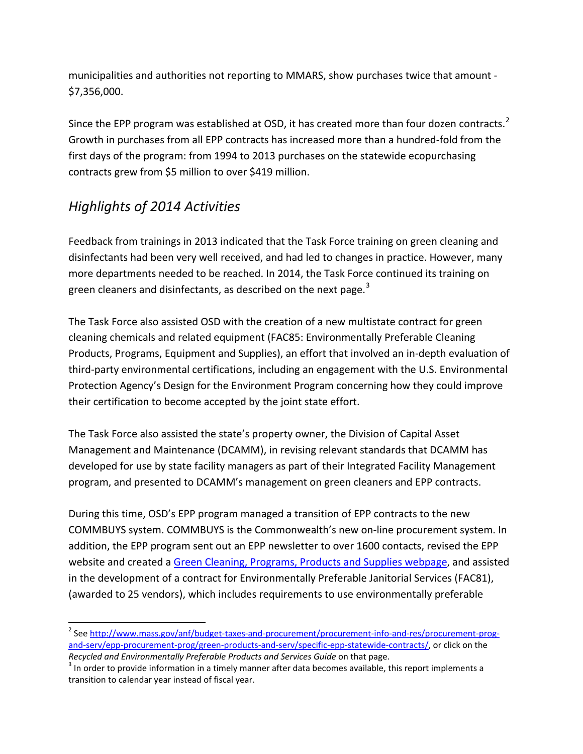municipalities and authorities not reporting to MMARS, show purchases twice that amount ‐ \$7,356,000.

Since the EPP program was established at OSD, it has created more than four dozen contracts.<sup>[2](#page-3-0)</sup> Growth in purchases from all EPP contracts has increased more than a hundred‐fold from the first days of the program: from 1994 to 2013 purchases on the statewide ecopurchasing contracts grew from \$5 million to over \$419 million.

# *Highlights of 2014 Activities*

Feedback from trainings in 2013 indicated that the Task Force training on green cleaning and disinfectants had been very well received, and had led to changes in practice. However, many more departments needed to be reached. In 2014, the Task Force continued its training on green cleaners and disinfectants, as described on the next page. $3$ 

The Task Force also assisted OSD with the creation of a new multistate contract for green cleaning chemicals and related equipment (FAC85: Environmentally Preferable Cleaning Products, Programs, Equipment and Supplies), an effort that involved an in‐depth evaluation of third‐party environmental certifications, including an engagement with the U.S. Environmental Protection Agency's Design for the Environment Program concerning how they could improve their certification to become accepted by the joint state effort.

The Task Force also assisted the state's property owner, the Division of Capital Asset Management and Maintenance (DCAMM), in revising relevant standards that DCAMM has developed for use by state facility managers as part of their Integrated Facility Management program, and presented to DCAMM's management on green cleaners and EPP contracts.

During this time, OSD's EPP program managed a transition of EPP contracts to the new COMMBUYS system. COMMBUYS is the Commonwealth's new on‐line procurement system. In addition, the EPP program sent out an EPP newsletter to over 1600 contacts, revised the EPP website and created a Green Cleaning, [Programs,](http://www.mass.gov/anf/budget-taxes-and-procurement/procurement-info-and-res/procurement-prog-and-serv/epp-procurement-prog/green-products-and-serv/specific-epp-statewide-contracts/green-cleaning-products.html) Products and Supplies webpage, and assisted in the development of a contract for Environmentally Preferable Janitorial Services (FAC81), (awarded to 25 vendors), which includes requirements to use environmentally preferable

<span id="page-3-0"></span><sup>&</sup>lt;sup>2</sup> See [http://www.mass.gov/anf/budget](http://www.mass.gov/anf/budget-taxes-and-procurement/procurement-info-and-res/procurement-prog-and-serv/epp-procurement-prog/green-products-and-serv/specific-epp-statewide-contracts/)-taxes-and-procurement/procurement-info-and-res/procurement-progand-serv/epp-[procurement](http://www.mass.gov/anf/budget-taxes-and-procurement/procurement-info-and-res/procurement-prog-and-serv/epp-procurement-prog/green-products-and-serv/specific-epp-statewide-contracts/)-prog/green-products-and-serv/specific-epp-statewide-contracts/, or click on the

<span id="page-3-1"></span>Recycled and Environmentally Preferable Products and Services Guide on that page.<br><sup>3</sup> In order to provide information in a timely manner after data becomes available, this report implements a transition to calendar year instead of fiscal year.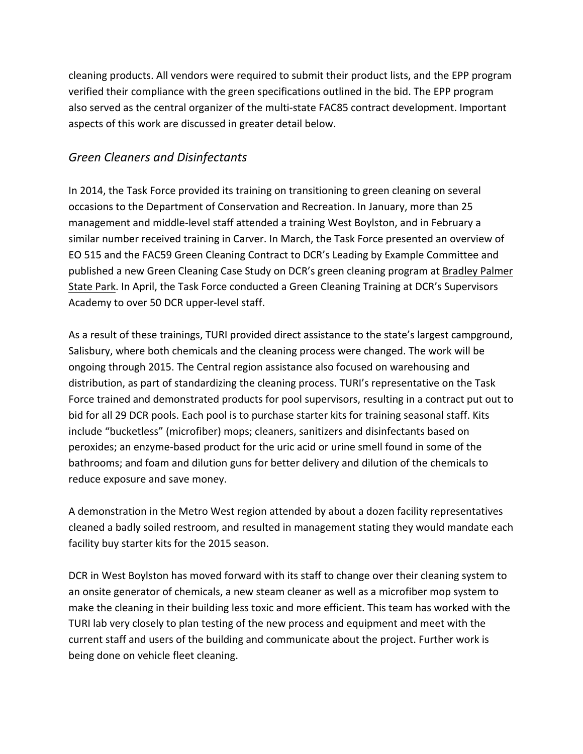cleaning products. All vendors were required to submit their product lists, and the EPP program verified their compliance with the green specifications outlined in the bid. The EPP program also served as the central organizer of the multi‐state FAC85 contract development. Important aspects of this work are discussed in greater detail below.

### *Green Cleaners and Disinfectants*

In 2014, the Task Force provided its training on transitioning to green cleaning on several occasions to the Department of Conservation and Recreation. In January, more than 25 management and middle‐level staff attended a training West Boylston, and in February a similar number received training in Carver. In March, the Task Force presented an overview of EO 515 and the FAC59 Green Cleaning Contract to DCR's Leading by Example Committee and published a new Green Cleaning Case Study on DCR's green cleaning program at [Bradley](http://www.mass.gov/anf/docs/osd/epp/fact-sheets/2-18-bradley-palmer-green-cleaning-case-study.docx) Palmer [State](http://www.mass.gov/anf/docs/osd/epp/fact-sheets/2-18-bradley-palmer-green-cleaning-case-study.docx) Park. In April, the Task Force conducted a Green Cleaning Training at DCR's Supervisors Academy to over 50 DCR upper‐level staff.

As a result of these trainings, TURI provided direct assistance to the state's largest campground, Salisbury, where both chemicals and the cleaning process were changed. The work will be ongoing through 2015. The Central region assistance also focused on warehousing and distribution, as part of standardizing the cleaning process. TURI's representative on the Task Force trained and demonstrated products for pool supervisors, resulting in a contract put out to bid for all 29 DCR pools. Each pool is to purchase starter kits for training seasonal staff. Kits include "bucketless" (microfiber) mops; cleaners, sanitizers and disinfectants based on peroxides; an enzyme‐based product for the uric acid or urine smell found in some of the bathrooms; and foam and dilution guns for better delivery and dilution of the chemicals to reduce exposure and save money.

A demonstration in the Metro West region attended by about a dozen facility representatives cleaned a badly soiled restroom, and resulted in management stating they would mandate each facility buy starter kits for the 2015 season.

DCR in West Boylston has moved forward with its staff to change over their cleaning system to an onsite generator of chemicals, a new steam cleaner as well as a microfiber mop system to make the cleaning in their building less toxic and more efficient. This team has worked with the TURI lab very closely to plan testing of the new process and equipment and meet with the current staff and users of the building and communicate about the project. Further work is being done on vehicle fleet cleaning.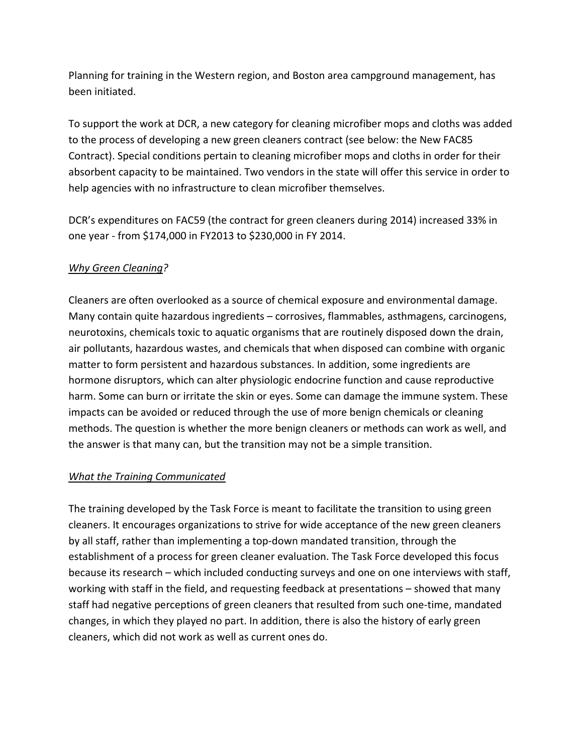Planning for training in the Western region, and Boston area campground management, has been initiated.

To support the work at DCR, a new category for cleaning microfiber mops and cloths was added to the process of developing a new green cleaners contract (see below: the New FAC85 Contract). Special conditions pertain to cleaning microfiber mops and cloths in order for their absorbent capacity to be maintained. Two vendors in the state will offer this service in order to help agencies with no infrastructure to clean microfiber themselves.

DCR's expenditures on FAC59 (the contract for green cleaners during 2014) increased 33% in one year ‐ from \$174,000 in FY2013 to \$230,000 in FY 2014.

### *Why Green Cleaning?*

Cleaners are often overlooked as a source of chemical exposure and environmental damage. Many contain quite hazardous ingredients – corrosives, flammables, asthmagens, carcinogens, neurotoxins, chemicals toxic to aquatic organisms that are routinely disposed down the drain, air pollutants, hazardous wastes, and chemicals that when disposed can combine with organic matter to form persistent and hazardous substances. In addition, some ingredients are hormone disruptors, which can alter physiologic endocrine function and cause reproductive harm. Some can burn or irritate the skin or eyes. Some can damage the immune system. These impacts can be avoided or reduced through the use of more benign chemicals or cleaning methods. The question is whether the more benign cleaners or methods can work as well, and the answer is that many can, but the transition may not be a simple transition.

#### *What the Training Communicated*

The training developed by the Task Force is meant to facilitate the transition to using green cleaners. It encourages organizations to strive for wide acceptance of the new green cleaners by all staff, rather than implementing a top‐down mandated transition, through the establishment of a process for green cleaner evaluation. The Task Force developed this focus because its research – which included conducting surveys and one on one interviews with staff, working with staff in the field, and requesting feedback at presentations – showed that many staff had negative perceptions of green cleaners that resulted from such one‐time, mandated changes, in which they played no part. In addition, there is also the history of early green cleaners, which did not work as well as current ones do.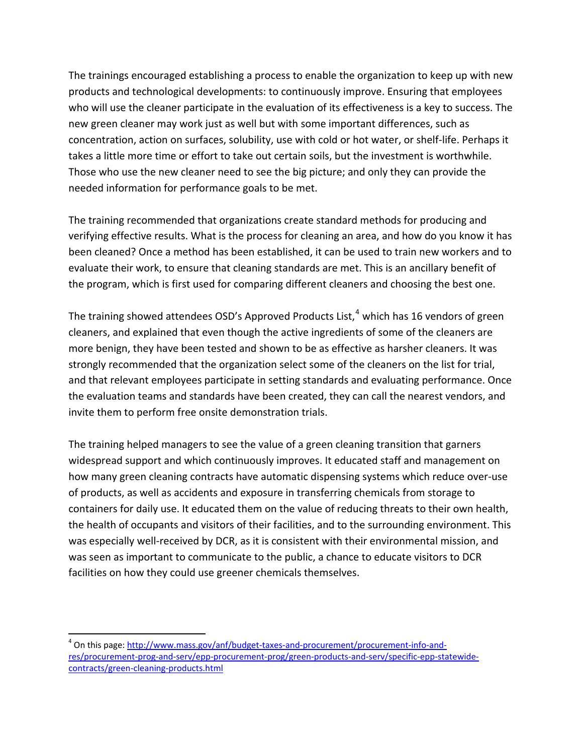The trainings encouraged establishing a process to enable the organization to keep up with new products and technological developments: to continuously improve. Ensuring that employees who will use the cleaner participate in the evaluation of its effectiveness is a key to success. The new green cleaner may work just as well but with some important differences, such as concentration, action on surfaces, solubility, use with cold or hot water, or shelf‐life. Perhaps it takes a little more time or effort to take out certain soils, but the investment is worthwhile. Those who use the new cleaner need to see the big picture; and only they can provide the needed information for performance goals to be met.

The training recommended that organizations create standard methods for producing and verifying effective results. What is the process for cleaning an area, and how do you know it has been cleaned? Once a method has been established, it can be used to train new workers and to evaluate their work, to ensure that cleaning standards are met. This is an ancillary benefit of the program, which is first used for comparing different cleaners and choosing the best one.

The training showed attendees OSD's Approved Products List, $4$  which has 16 vendors of green cleaners, and explained that even though the active ingredients of some of the cleaners are more benign, they have been tested and shown to be as effective as harsher cleaners. It was strongly recommended that the organization select some of the cleaners on the list for trial, and that relevant employees participate in setting standards and evaluating performance. Once the evaluation teams and standards have been created, they can call the nearest vendors, and invite them to perform free onsite demonstration trials.

The training helped managers to see the value of a green cleaning transition that garners widespread support and which continuously improves. It educated staff and management on how many green cleaning contracts have automatic dispensing systems which reduce over‐use of products, as well as accidents and exposure in transferring chemicals from storage to containers for daily use. It educated them on the value of reducing threats to their own health, the health of occupants and visitors of their facilities, and to the surrounding environment. This was especially well-received by DCR, as it is consistent with their environmental mission, and was seen as important to communicate to the public, a chance to educate visitors to DCR facilities on how they could use greener chemicals themselves.

<span id="page-6-0"></span><sup>&</sup>lt;sup>4</sup> On this page: [http://www.mass.gov/anf/budget](http://www.mass.gov/anf/budget-taxes-and-procurement/procurement-info-and-res/procurement-prog-and-serv/epp-procurement-prog/green-products-and-serv/specific-epp-statewide-contracts/green-cleaning-products.html)-taxes-and-procurement/procurement-info-and[res/procurement](http://www.mass.gov/anf/budget-taxes-and-procurement/procurement-info-and-res/procurement-prog-and-serv/epp-procurement-prog/green-products-and-serv/specific-epp-statewide-contracts/green-cleaning-products.html)‐prog‐and‐serv/epp‐procurement‐prog/green‐products‐and‐serv/specific‐epp‐statewide‐ [contracts/green](http://www.mass.gov/anf/budget-taxes-and-procurement/procurement-info-and-res/procurement-prog-and-serv/epp-procurement-prog/green-products-and-serv/specific-epp-statewide-contracts/green-cleaning-products.html)‐cleaning‐products.html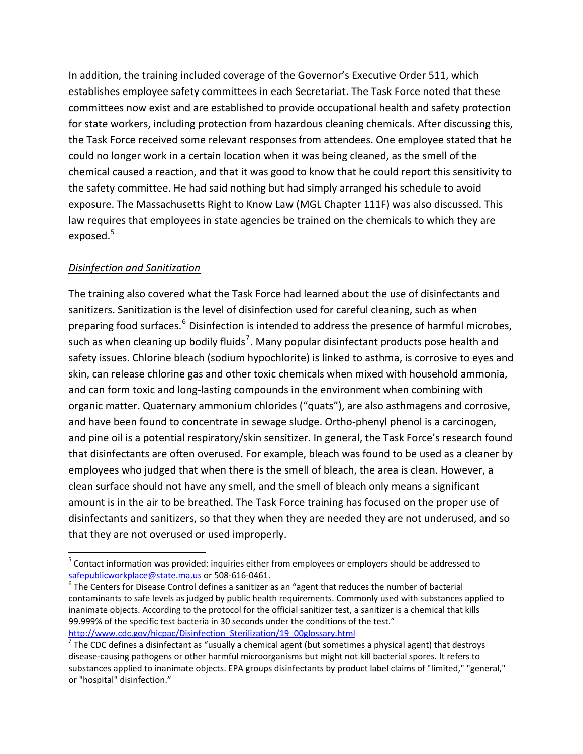In addition, the training included coverage of the Governor's Executive Order 511, which establishes employee safety committees in each Secretariat. The Task Force noted that these committees now exist and are established to provide occupational health and safety protection for state workers, including protection from hazardous cleaning chemicals. After discussing this, the Task Force received some relevant responses from attendees. One employee stated that he could no longer work in a certain location when it was being cleaned, as the smell of the chemical caused a reaction, and that it was good to know that he could report this sensitivity to the safety committee. He had said nothing but had simply arranged his schedule to avoid exposure. The Massachusetts Right to Know Law (MGL Chapter 111F) was also discussed. This law requires that employees in state agencies be trained on the chemicals to which they are exposed.<sup>[5](#page-7-0)</sup>

#### *Disinfection and Sanitization*

The training also covered what the Task Force had learned about the use of disinfectants and sanitizers. Sanitization is the level of disinfection used for careful cleaning, such as when preparing food surfaces.<sup>[6](#page-7-1)</sup> Disinfection is intended to address the presence of harmful microbes, such as when cleaning up bodily fluids<sup>[7](#page-7-2)</sup>. Many popular disinfectant products pose health and safety issues. Chlorine bleach (sodium hypochlorite) is linked to asthma, is corrosive to eyes and skin, can release chlorine gas and other toxic chemicals when mixed with household ammonia, and can form toxic and long-lasting compounds in the environment when combining with organic matter. Quaternary ammonium chlorides ("quats"), are also asthmagens and corrosive, and have been found to concentrate in sewage sludge. Ortho-phenyl phenol is a carcinogen, and pine oil is a potential respiratory/skin sensitizer. In general, the Task Force's research found that disinfectants are often overused. For example, bleach was found to be used as a cleaner by employees who judged that when there is the smell of bleach, the area is clean. However, a clean surface should not have any smell, and the smell of bleach only means a significant amount is in the air to be breathed. The Task Force training has focused on the proper use of disinfectants and sanitizers, so that they when they are needed they are not underused, and so that they are not overused or used improperly.

<span id="page-7-0"></span><sup>&</sup>lt;sup>5</sup> Contact information was provided: inquiries either from employees or employers should be addressed to [safepublicworkplace@state.ma.us](mailto:safepublicworkplace@state.ma.us) or 508-616-0461.<br><sup>6</sup> The Centers for Disease Control defines a sanitizer as an "agent that reduces the number of bacterial

<span id="page-7-1"></span>contaminants to safe levels as judged by public health requirements. Commonly used with substances applied to inanimate objects. According to the protocol for the official sanitizer test, a sanitizer is a chemical that kills 99.999% of the specific test bacteria in 30 seconds under the conditions of the test."<br>http://www.cdc.gov/hicpac/Disinfection Sterilization/19 00glossary.html

<span id="page-7-2"></span> $^7$  The CDC defines a disinfectant as "usually a chemical agent (but sometimes a physical agent) that destroys disease‐causing pathogens or other harmful microorganisms but might not kill bacterial spores. It refers to substances applied to inanimate objects. EPA groups disinfectants by product label claims of "limited," "general," or "hospital" disinfection."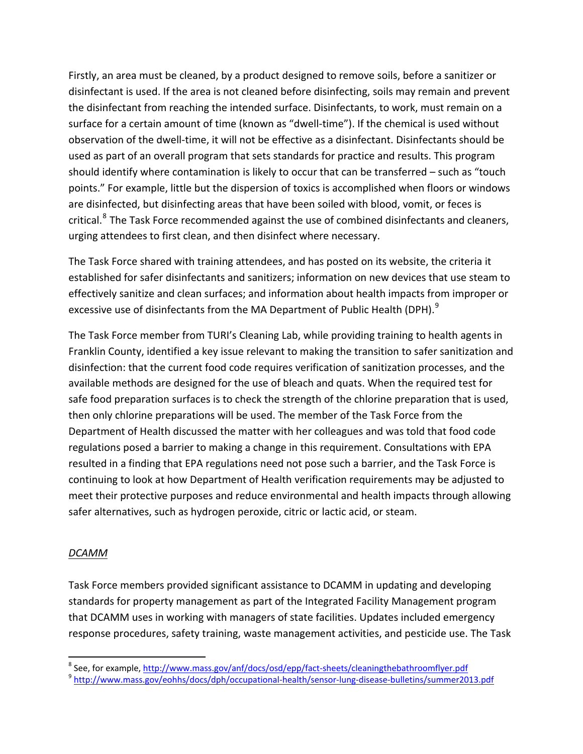Firstly, an area must be cleaned, by a product designed to remove soils, before a sanitizer or disinfectant is used. If the area is not cleaned before disinfecting, soils may remain and prevent the disinfectant from reaching the intended surface. Disinfectants, to work, must remain on a surface for a certain amount of time (known as "dwell‐time"). If the chemical is used without observation of the dwell‐time, it will not be effective as a disinfectant. Disinfectants should be used as part of an overall program that sets standards for practice and results. This program should identify where contamination is likely to occur that can be transferred – such as "touch points." For example, little but the dispersion of toxics is accomplished when floors or windows are disinfected, but disinfecting areas that have been soiled with blood, vomit, or feces is critical.<sup>[8](#page-8-0)</sup> The Task Force recommended against the use of combined disinfectants and cleaners, urging attendees to first clean, and then disinfect where necessary.

The Task Force shared with training attendees, and has posted on its website, the criteria it established for safer disinfectants and sanitizers; information on new devices that use steam to effectively sanitize and clean surfaces; and information about health impacts from improper or excessive use of disinfectants from the MA Department of Public Health (DPH).<sup>[9](#page-8-1)</sup>

The Task Force member from TURI's Cleaning Lab, while providing training to health agents in Franklin County, identified a key issue relevant to making the transition to safer sanitization and disinfection: that the current food code requires verification of sanitization processes, and the available methods are designed for the use of bleach and quats. When the required test for safe food preparation surfaces is to check the strength of the chlorine preparation that is used, then only chlorine preparations will be used. The member of the Task Force from the Department of Health discussed the matter with her colleagues and was told that food code regulations posed a barrier to making a change in this requirement. Consultations with EPA resulted in a finding that EPA regulations need not pose such a barrier, and the Task Force is continuing to look at how Department of Health verification requirements may be adjusted to meet their protective purposes and reduce environmental and health impacts through allowing safer alternatives, such as hydrogen peroxide, citric or lactic acid, or steam.

#### *DCAMM*

Task Force members provided significant assistance to DCAMM in updating and developing standards for property management as part of the Integrated Facility Management program that DCAMM uses in working with managers of state facilities. Updates included emergency response procedures, safety training, waste management activities, and pesticide use. The Task

<span id="page-8-0"></span><sup>&</sup>lt;sup>8</sup> See, for example, [http://www.mass.gov/anf/docs/osd/epp/fact](http://www.mass.gov/anf/docs/osd/epp/fact-sheets/cleaningthebathroomflyer.pdf)-sheets/cleaningthebathroomflyer.pdf<br><sup>9</sup> [http://www.mass.gov/eohhs/docs/dph/occupational](http://www.mass.gov/eohhs/docs/dph/occupational-health/sensor-lung-disease-bulletins/summer2013.pdf)‐health/sensor‐lung‐disease‐bulletins/summer2013.pdf

<span id="page-8-1"></span>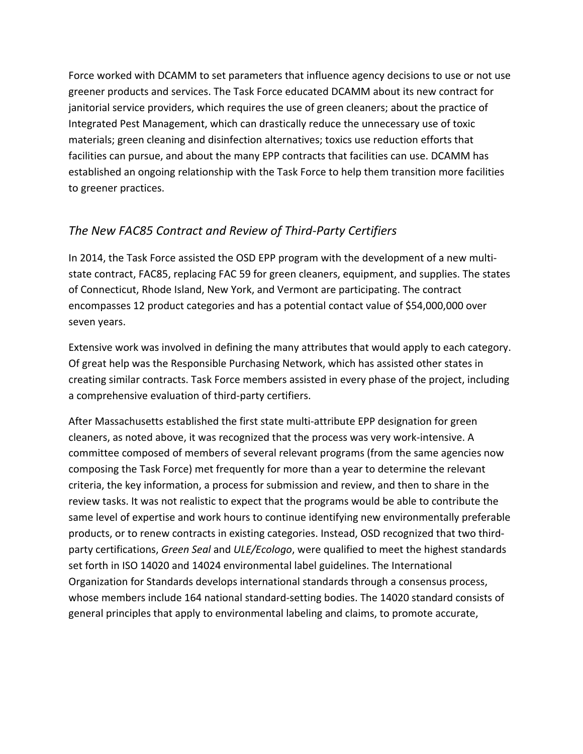Force worked with DCAMM to set parameters that influence agency decisions to use or not use greener products and services. The Task Force educated DCAMM about its new contract for janitorial service providers, which requires the use of green cleaners; about the practice of Integrated Pest Management, which can drastically reduce the unnecessary use of toxic materials; green cleaning and disinfection alternatives; toxics use reduction efforts that facilities can pursue, and about the many EPP contracts that facilities can use. DCAMM has established an ongoing relationship with the Task Force to help them transition more facilities to greener practices.

# *The New FAC85 Contract and Review of Third‐Party Certifiers*

In 2014, the Task Force assisted the OSD EPP program with the development of a new multistate contract, FAC85, replacing FAC 59 for green cleaners, equipment, and supplies. The states of Connecticut, Rhode Island, New York, and Vermont are participating. The contract encompasses 12 product categories and has a potential contact value of \$54,000,000 over seven years.

Extensive work was involved in defining the many attributes that would apply to each category. Of great help was the Responsible Purchasing Network, which has assisted other states in creating similar contracts. Task Force members assisted in every phase of the project, including a comprehensive evaluation of third‐party certifiers.

After Massachusetts established the first state multi‐attribute EPP designation for green cleaners, as noted above, it was recognized that the process was very work‐intensive. A committee composed of members of several relevant programs (from the same agencies now composing the Task Force) met frequently for more than a year to determine the relevant criteria, the key information, a process for submission and review, and then to share in the review tasks. It was not realistic to expect that the programs would be able to contribute the same level of expertise and work hours to continue identifying new environmentally preferable products, or to renew contracts in existing categories. Instead, OSD recognized that two third‐ party certifications, *Green Seal* and *ULE/Ecologo*, were qualified to meet the highest standards set forth in ISO 14020 and 14024 environmental label guidelines. The International Organization for Standards develops international standards through a consensus process, whose members include 164 national standard-setting bodies. The 14020 standard consists of general principles that apply to environmental labeling and claims, to promote accurate,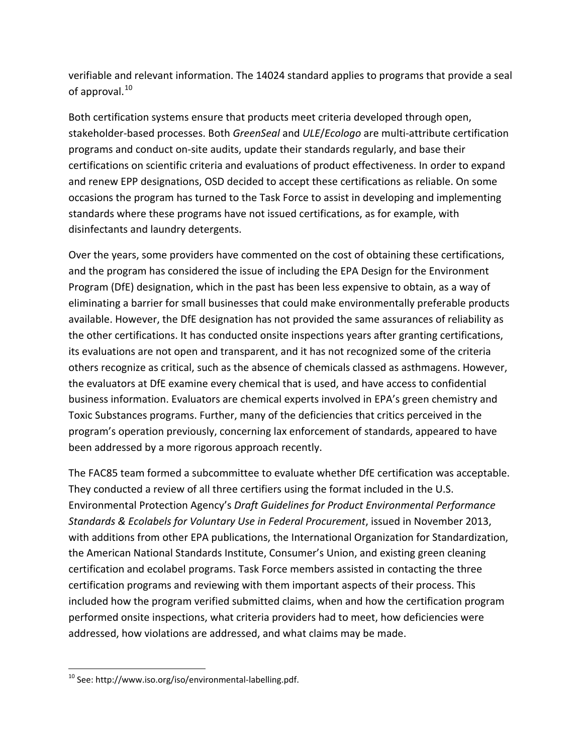verifiable and relevant information. The 14024 standard applies to programs that provide a seal of approval.<sup>[10](#page-10-0)</sup>

Both certification systems ensure that products meet criteria developed through open, stakeholder‐based processes. Both *GreenSeal* and *ULE*/*Ecologo* are multi‐attribute certification programs and conduct on‐site audits, update their standards regularly, and base their certifications on scientific criteria and evaluations of product effectiveness. In order to expand and renew EPP designations, OSD decided to accept these certifications as reliable. On some occasions the program has turned to the Task Force to assist in developing and implementing standards where these programs have not issued certifications, as for example, with disinfectants and laundry detergents.

Over the years, some providers have commented on the cost of obtaining these certifications, and the program has considered the issue of including the EPA Design for the Environment Program (DfE) designation, which in the past has been less expensive to obtain, as a way of eliminating a barrier for small businesses that could make environmentally preferable products available. However, the DfE designation has not provided the same assurances of reliability as the other certifications. It has conducted onsite inspections years after granting certifications, its evaluations are not open and transparent, and it has not recognized some of the criteria others recognize as critical, such as the absence of chemicals classed as asthmagens. However, the evaluators at DfE examine every chemical that is used, and have access to confidential business information. Evaluators are chemical experts involved in EPA's green chemistry and Toxic Substances programs. Further, many of the deficiencies that critics perceived in the program's operation previously, concerning lax enforcement of standards, appeared to have been addressed by a more rigorous approach recently.

The FAC85 team formed a subcommittee to evaluate whether DfE certification was acceptable. They conducted a review of all three certifiers using the format included in the U.S. Environmental Protection Agency's *Draft Guidelines for Product Environmental Performance Standards & Ecolabels for Voluntary Use in Federal Procurement*, issued in November 2013, with additions from other EPA publications, the International Organization for Standardization, the American National Standards Institute, Consumer's Union, and existing green cleaning certification and ecolabel programs. Task Force members assisted in contacting the three certification programs and reviewing with them important aspects of their process. This included how the program verified submitted claims, when and how the certification program performed onsite inspections, what criteria providers had to meet, how deficiencies were addressed, how violations are addressed, and what claims may be made.

<span id="page-10-0"></span> $10$  See: http://www.iso.org/iso/environmental-labelling.pdf.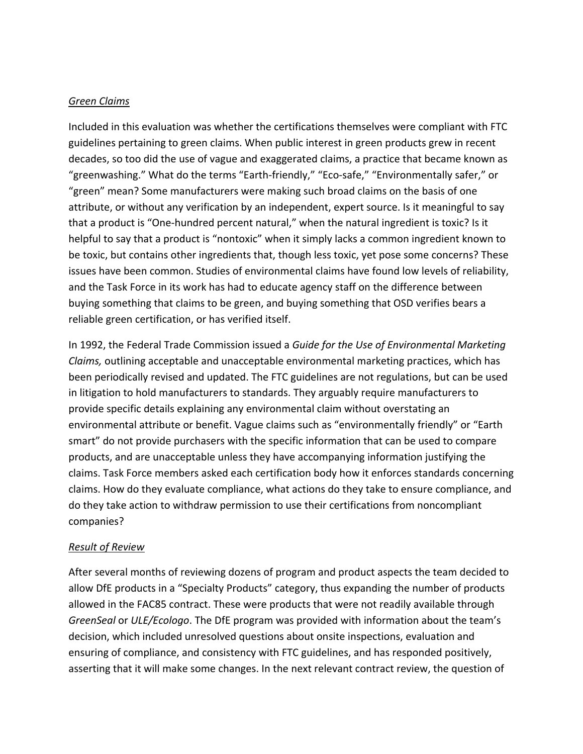#### *Green Claims*

Included in this evaluation was whether the certifications themselves were compliant with FTC guidelines pertaining to green claims. When public interest in green products grew in recent decades, so too did the use of vague and exaggerated claims, a practice that became known as "greenwashing." What do the terms "Earth‐friendly," "Eco‐safe," "Environmentally safer," or "green" mean? Some manufacturers were making such broad claims on the basis of one attribute, or without any verification by an independent, expert source. Is it meaningful to say that a product is "One‐hundred percent natural," when the natural ingredient is toxic? Is it helpful to say that a product is "nontoxic" when it simply lacks a common ingredient known to be toxic, but contains other ingredients that, though less toxic, yet pose some concerns? These issues have been common. Studies of environmental claims have found low levels of reliability, and the Task Force in its work has had to educate agency staff on the difference between buying something that claims to be green, and buying something that OSD verifies bears a reliable green certification, or has verified itself.

In 1992, the Federal Trade Commission issued a *Guide for the Use of Environmental Marketing Claims,* outlining acceptable and unacceptable environmental marketing practices, which has been periodically revised and updated. The FTC guidelines are not regulations, but can be used in litigation to hold manufacturers to standards. They arguably require manufacturers to provide specific details explaining any environmental claim without overstating an environmental attribute or benefit. Vague claims such as "environmentally friendly" or "Earth smart" do not provide purchasers with the specific information that can be used to compare products, and are unacceptable unless they have accompanying information justifying the claims. Task Force members asked each certification body how it enforces standards concerning claims. How do they evaluate compliance, what actions do they take to ensure compliance, and do they take action to withdraw permission to use their certifications from noncompliant companies?

#### *Result of Review*

After several months of reviewing dozens of program and product aspects the team decided to allow DfE products in a "Specialty Products" category, thus expanding the number of products allowed in the FAC85 contract. These were products that were not readily available through *GreenSeal* or *ULE/Ecologo*. The DfE program was provided with information about the team's decision, which included unresolved questions about onsite inspections, evaluation and ensuring of compliance, and consistency with FTC guidelines, and has responded positively, asserting that it will make some changes. In the next relevant contract review, the question of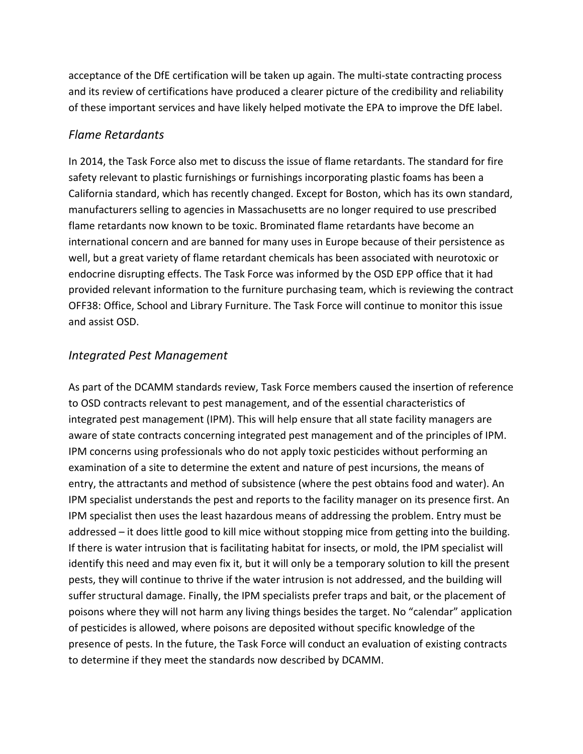acceptance of the DfE certification will be taken up again. The multi‐state contracting process and its review of certifications have produced a clearer picture of the credibility and reliability of these important services and have likely helped motivate the EPA to improve the DfE label.

## *Flame Retardants*

In 2014, the Task Force also met to discuss the issue of flame retardants. The standard for fire safety relevant to plastic furnishings or furnishings incorporating plastic foams has been a California standard, which has recently changed. Except for Boston, which has its own standard, manufacturers selling to agencies in Massachusetts are no longer required to use prescribed flame retardants now known to be toxic. Brominated flame retardants have become an international concern and are banned for many uses in Europe because of their persistence as well, but a great variety of flame retardant chemicals has been associated with neurotoxic or endocrine disrupting effects. The Task Force was informed by the OSD EPP office that it had provided relevant information to the furniture purchasing team, which is reviewing the contract OFF38: Office, School and Library Furniture. The Task Force will continue to monitor this issue and assist OSD.

## *Integrated Pest Management*

As part of the DCAMM standards review, Task Force members caused the insertion of reference to OSD contracts relevant to pest management, and of the essential characteristics of integrated pest management (IPM). This will help ensure that all state facility managers are aware of state contracts concerning integrated pest management and of the principles of IPM. IPM concerns using professionals who do not apply toxic pesticides without performing an examination of a site to determine the extent and nature of pest incursions, the means of entry, the attractants and method of subsistence (where the pest obtains food and water). An IPM specialist understands the pest and reports to the facility manager on its presence first. An IPM specialist then uses the least hazardous means of addressing the problem. Entry must be addressed – it does little good to kill mice without stopping mice from getting into the building. If there is water intrusion that is facilitating habitat for insects, or mold, the IPM specialist will identify this need and may even fix it, but it will only be a temporary solution to kill the present pests, they will continue to thrive if the water intrusion is not addressed, and the building will suffer structural damage. Finally, the IPM specialists prefer traps and bait, or the placement of poisons where they will not harm any living things besides the target. No "calendar" application of pesticides is allowed, where poisons are deposited without specific knowledge of the presence of pests. In the future, the Task Force will conduct an evaluation of existing contracts to determine if they meet the standards now described by DCAMM.